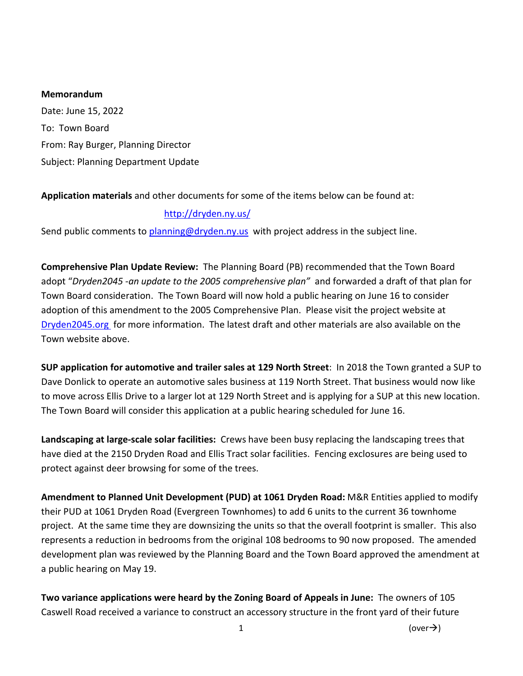#### **Memorandum**

Date: June 15, 2022 To: Town Board From: Ray Burger, Planning Director Subject: Planning Department Update

### **Application materials** and other documents for some of the items below can be found at:

### <http://dryden.ny.us/>

Send public comments to [planning@dryden.ny.us](mailto:planning@dryden.ny.us) with project address in the subject line.

**Comprehensive Plan Update Review:** The Planning Board (PB) recommended that the Town Board adopt "*Dryden2045 -an update to the 2005 comprehensive plan"* and forwarded a draft of that plan for Town Board consideration. The Town Board will now hold a public hearing on June 16 to consider adoption of this amendment to the 2005 Comprehensive Plan. Please visit the project website at [Dryden2045.org](https://www.dryden2045.org/) for more information. The latest draft and other materials are also available on the Town website above.

**SUP application for automotive and trailer sales at 129 North Street**: In 2018 the Town granted a SUP to Dave Donlick to operate an automotive sales business at 119 North Street. That business would now like to move across Ellis Drive to a larger lot at 129 North Street and is applying for a SUP at this new location. The Town Board will consider this application at a public hearing scheduled for June 16.

**Landscaping at large-scale solar facilities:** Crews have been busy replacing the landscaping trees that have died at the 2150 Dryden Road and Ellis Tract solar facilities. Fencing exclosures are being used to protect against deer browsing for some of the trees.

**Amendment to Planned Unit Development (PUD) at 1061 Dryden Road:** M&R Entities applied to modify their PUD at 1061 Dryden Road (Evergreen Townhomes) to add 6 units to the current 36 townhome project. At the same time they are downsizing the units so that the overall footprint is smaller. This also represents a reduction in bedrooms from the original 108 bedrooms to 90 now proposed. The amended development plan was reviewed by the Planning Board and the Town Board approved the amendment at a public hearing on May 19.

**Two variance applications were heard by the Zoning Board of Appeals in June:** The owners of 105 Caswell Road received a variance to construct an accessory structure in the front yard of their future

1 (over  $\rightarrow$  )